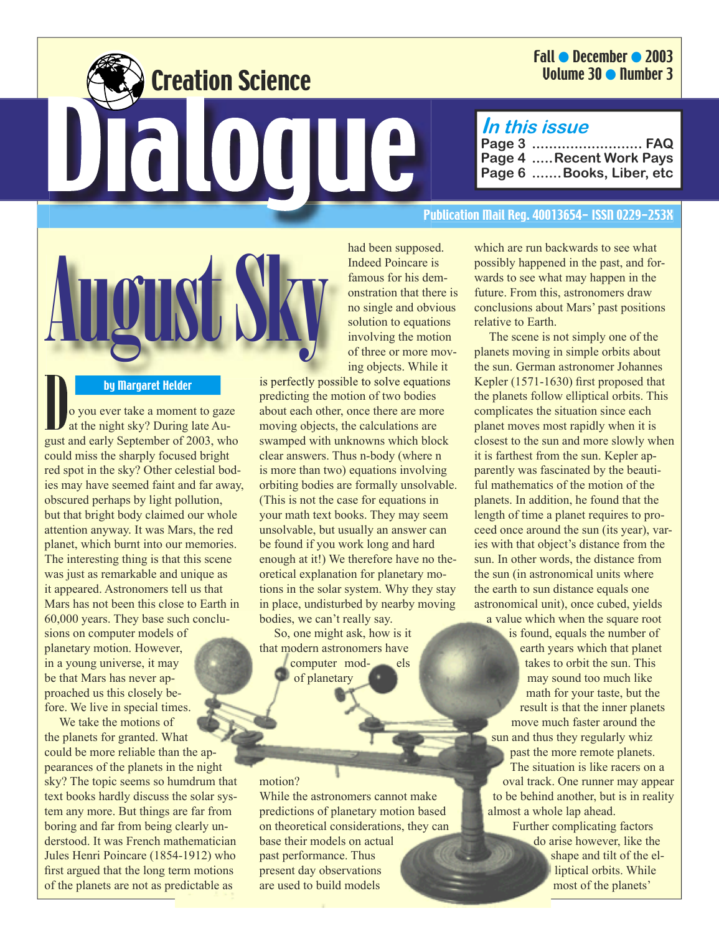## Fall ● December ● 2003 Volume 30 ● Number 3

# **In this issue**

**Page 3 .......................... FAQ Page 4 .....Recent Work Pays Page 6 .......Books, Liber, etc**

#### Publication Mail Reg. 40013654- ISSN 0229-253X



Creation Science

Dialogue

**Example 13 by Margaret Helder**<br>
Do you ever take a moment to gaze at the night sky? During late August and early September of 2003, who could miss the sharply focused bright red spot in the sky? Other celestial bodies may have seemed faint and far away, obscured perhaps by light pollution, but that bright body claimed our whole attention anyway. It was Mars, the red planet, which burnt into our memories. The interesting thing is that this scene was just as remarkable and unique as it appeared. Astronomers tell us that Mars has not been this close to Earth in 60,000 years. They base such conclusions on computer models of planetary motion. However, in a young universe, it may be that Mars has never approached us this closely before. We live in special times.

We take the motions of the planets for granted. What could be more reliable than the appearances of the planets in the night sky? The topic seems so humdrum that text books hardly discuss the solar system any more. But things are far from boring and far from being clearly understood. It was French mathematician Jules Henri Poincare (1854-1912) who first argued that the long term motions of the planets are not as predictable as



is perfectly possible to solve equations predicting the motion of two bodies about each other, once there are more moving objects, the calculations are swamped with unknowns which block clear answers. Thus n-body (where n is more than two) equations involving orbiting bodies are formally unsolvable. (This is not the case for equations in your math text books. They may seem unsolvable, but usually an answer can be found if you work long and hard enough at it!) We therefore have no theoretical explanation for planetary motions in the solar system. Why they stay in place, undisturbed by nearby moving bodies, we can't really say.

So, one might ask, how is it that modern astronomers have computer mod- els of planetary

#### motion?

While the astronomers cannot make predictions of planetary motion based on theoretical considerations, they can base their models on actual past performance. Thus present day observations are used to build models

which are run backwards to see what possibly happened in the past, and forwards to see what may happen in the future. From this, astronomers draw conclusions about Mars' past positions relative to Earth.

The scene is not simply one of the planets moving in simple orbits about the sun. German astronomer Johannes Kepler (1571-1630) first proposed that the planets follow elliptical orbits. This complicates the situation since each planet moves most rapidly when it is closest to the sun and more slowly when it is farthest from the sun. Kepler apparently was fascinated by the beautiful mathematics of the motion of the planets. In addition, he found that the length of time a planet requires to proceed once around the sun (its year), varies with that object's distance from the sun. In other words, the distance from the sun (in astronomical units where the earth to sun distance equals one astronomical unit), once cubed, yields

a value which when the square root is found, equals the number of earth years which that planet takes to orbit the sun. This may sound too much like math for your taste, but the result is that the inner planets move much faster around the sun and thus they regularly whiz past the more remote planets. The situation is like racers on a oval track. One runner may appear to be behind another, but is in reality almost a whole lap ahead. Further complicating factors

do arise however, like the shape and tilt of the elliptical orbits. While most of the planets'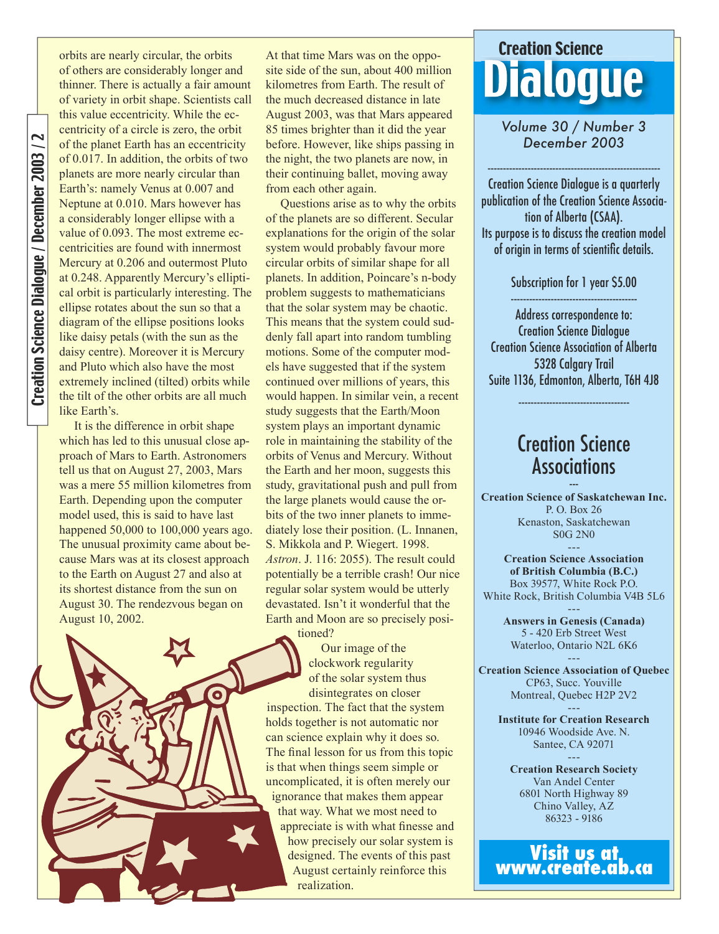orbits are nearly circular, the orbits of others are considerably longer and thinner. There is actually a fair amount of variety in orbit shape. Scientists call this value eccentricity. While the eccentricity of a circle is zero, the orbit of the planet Earth has an eccentricity of 0.017. In addition, the orbits of two planets are more nearly circular than Earth's: namely Venus at 0.007 and Neptune at 0.010. Mars however has a considerably longer ellipse with a value of 0.093. The most extreme eccentricities are found with innermost Mercury at 0.206 and outermost Pluto at 0.248. Apparently Mercury's elliptical orbit is particularly interesting. The ellipse rotates about the sun so that a diagram of the ellipse positions looks like daisy petals (with the sun as the daisy centre). Moreover it is Mercury and Pluto which also have the most extremely inclined (tilted) orbits while the tilt of the other orbits are all much like Earth's.

It is the difference in orbit shape which has led to this unusual close approach of Mars to Earth. Astronomers tell us that on August 27, 2003, Mars was a mere 55 million kilometres from Earth. Depending upon the computer model used, this is said to have last happened 50,000 to 100,000 years ago. The unusual proximity came about because Mars was at its closest approach to the Earth on August 27 and also at its shortest distance from the sun on August 30. The rendezvous began on August 10, 2002.

At that time Mars was on the opposite side of the sun, about 400 million kilometres from Earth. The result of the much decreased distance in late August 2003, was that Mars appeared 85 times brighter than it did the year before. However, like ships passing in the night, the two planets are now, in their continuing ballet, moving away from each other again.

Questions arise as to why the orbits of the planets are so different. Secular explanations for the origin of the solar system would probably favour more circular orbits of similar shape for all planets. In addition, Poincare's n-body problem suggests to mathematicians that the solar system may be chaotic. This means that the system could suddenly fall apart into random tumbling motions. Some of the computer models have suggested that if the system continued over millions of years, this would happen. In similar vein, a recent study suggests that the Earth/Moon system plays an important dynamic role in maintaining the stability of the orbits of Venus and Mercury. Without the Earth and her moon, suggests this study, gravitational push and pull from the large planets would cause the orbits of the two inner planets to immediately lose their position. (L. Innanen, S. Mikkola and P. Wiegert. 1998. *Astron*. J. 116: 2055). The result could potentially be a terrible crash! Our nice regular solar system would be utterly devastated. Isn't it wonderful that the Earth and Moon are so precisely posi-

tioned?

Our image of the

clockwork regularity of the solar system thus disintegrates on closer inspection. The fact that the system holds together is not automatic nor can science explain why it does so. The final lesson for us from this topic is that when things seem simple or uncomplicated, it is often merely our ignorance that makes them appear that way. What we most need to appreciate is with what finesse and how precisely our solar system is designed. The events of this past August certainly reinforce this realization.

# Creation Science<br>Dia OCILE

*Volume 30 / Number 3 December 2003*

--------------------------------------------------------

Creation Science Dialogue is a quarterly publication of the Creation Science Association of Alberta (CSAA). Its purpose is to discuss the creation model of origin in terms of scientific details.

Subscription for 1 year \$5.00

----------------------------------------- Address correspondence to: Creation Science Dialogue Creation Science Association of Alberta 5328 Calgary Trail Suite 1136, Edmonton, Alberta, T6H 4J8

# Creation Science Associations

------------------------------------

**Creation Science of Saskatchewan Inc.** P. O. Box 26 Kenaston, Saskatchewan S0G 2N0 ---

**Creation Science Association of British Columbia (B.C.)** Box 39577, White Rock P.O. White Rock, British Columbia V4B 5L6

> --- **Answers in Genesis (Canada)** 5 - 420 Erb Street West Waterloo, Ontario N2L 6K6

--- **Creation Science Association of Quebec** CP63, Succ. Youville Montreal, Quebec H2P 2V2 ---

**Institute for Creation Research** 10946 Woodside Ave. N. Santee, CA 92071 ---

**Creation Research Society** Van Andel Center 6801 North Highway 89 Chino Valley, AZ 86323 - 9186

**Visit us at www.create.ab.ca**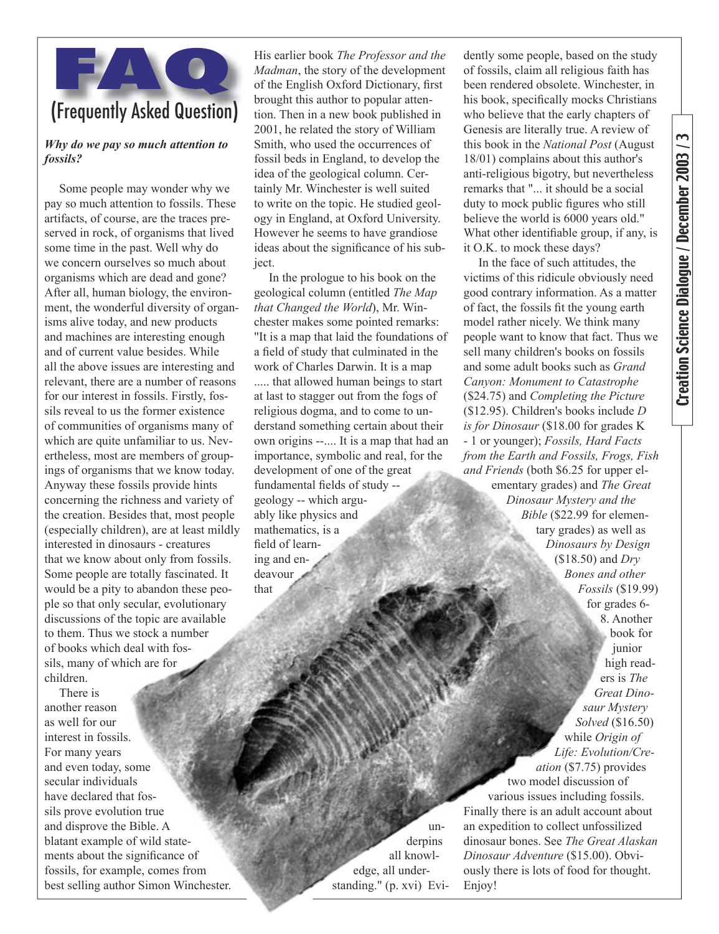

#### *Why do we pay so much attention to fossils?*

Some people may wonder why we pay so much attention to fossils. These artifacts, of course, are the traces preserved in rock, of organisms that lived some time in the past. Well why do we concern ourselves so much about organisms which are dead and gone? After all, human biology, the environment, the wonderful diversity of organisms alive today, and new products and machines are interesting enough and of current value besides. While all the above issues are interesting and relevant, there are a number of reasons for our interest in fossils. Firstly, fossils reveal to us the former existence of communities of organisms many of which are quite unfamiliar to us. Nevertheless, most are members of groupings of organisms that we know today. Anyway these fossils provide hints concerning the richness and variety of the creation. Besides that, most people (especially children), are at least mildly interested in dinosaurs - creatures that we know about only from fossils. Some people are totally fascinated. It would be a pity to abandon these people so that only secular, evolutionary discussions of the topic are available to them. Thus we stock a number of books which deal with fossils, many of which are for children.

There is another reason as well for our interest in fossils. For many years and even today, some secular individuals have declared that fossils prove evolution true and disprove the Bible. A blatant example of wild statements about the significance of fossils, for example, comes from best selling author Simon Winchester.

His earlier book *The Professor and the Madman*, the story of the development of the English Oxford Dictionary, first brought this author to popular attention. Then in a new book published in 2001, he related the story of William Smith, who used the occurrences of fossil beds in England, to develop the idea of the geological column. Certainly Mr. Winchester is well suited to write on the topic. He studied geology in England, at Oxford University. However he seems to have grandiose ideas about the significance of his subject.

In the prologue to his book on the geological column (entitled *The Map that Changed the World*), Mr. Winchester makes some pointed remarks: "It is a map that laid the foundations of a field of study that culminated in the work of Charles Darwin. It is a map ..... that allowed human beings to start at last to stagger out from the fogs of religious dogma, and to come to understand something certain about their own origins --.... It is a map that had an importance, symbolic and real, for the development of one of the great fundamental fields of study -geology -- which arguably like physics and mathematics, is a field of learning and endeavour that

dently some people, based on the study of fossils, claim all religious faith has been rendered obsolete. Winchester, in his book, specifically mocks Christians who believe that the early chapters of Genesis are literally true. A review of this book in the *National Post* (August 18/01) complains about this author's anti-religious bigotry, but nevertheless remarks that "... it should be a social duty to mock public figures who still believe the world is 6000 years old." What other identifiable group, if any, is it O.K. to mock these days? In the face of such attitudes, the

victims of this ridicule obviously need good contrary information. As a matter of fact, the fossils fit the young earth model rather nicely. We think many people want to know that fact. Thus we sell many children's books on fossils and some adult books such as *Grand Canyon: Monument to Catastrophe*  (\$24.75) and *Completing the Picture*  (\$12.95). Children's books include *D is for Dinosaur* (\$18.00 for grades K - 1 or younger); *Fossils, Hard Facts from the Earth and Fossils, Frogs, Fish and Friends* (both \$6.25 for upper elementary grades) and *The Great Dinosaur Mystery and the Bible* (\$22.99 for elementary grades) as well as *Dinosaurs by Design* (\$18.50) and *Dry Bones and other Fossils* (\$19.99) for grades 6- 8. Another book for junior high readers is *The Great Dinosaur Mystery Solved* (\$16.50) while *Origin of Life: Evolution/Creation* (\$7.75) provides two model discussion of various issues including fossils. Finally there is an adult account about an expedition to collect unfossilized dinosaur bones. See *The Great Alaskan Dinosaur Adventure* (\$15.00). Obviously there is lots of food for thought. Enjoy!

underpins all knowledge, all understanding." (p. xvi) Evi-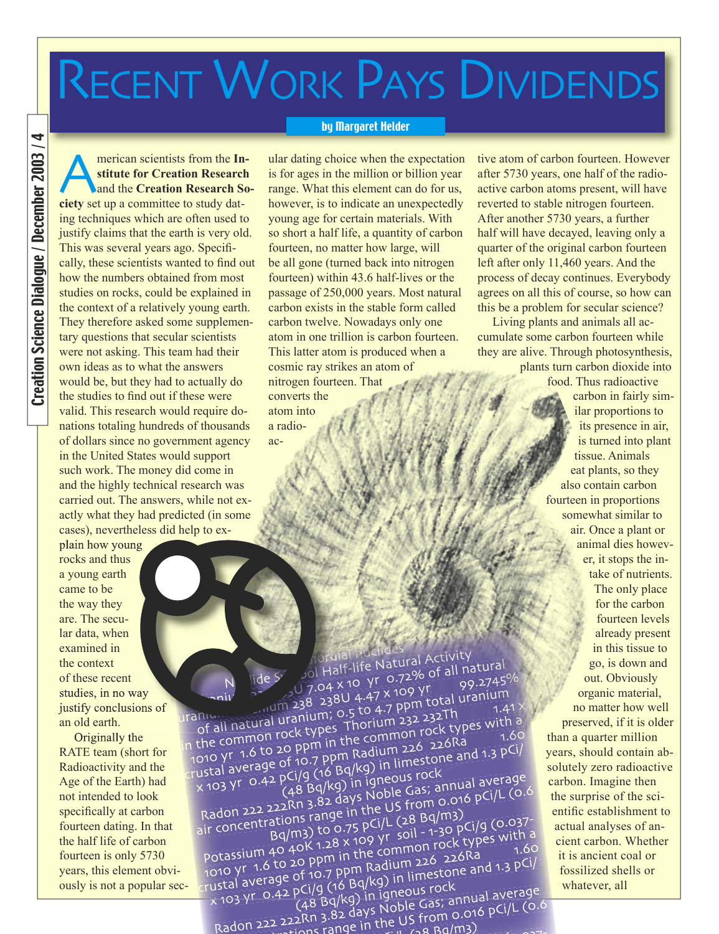# RECENT WORK PAYS DIVIDENDS

#### by Margaret Helder

Creation Science Dialoque / December 2003 / 4 Creation Science Dialogue / December 2003 / 4

**AMERICAN SCIENCES SET SCIENCES SET SCIENCES SCIENCES SCIENCES Set up a committee to study datstitute for Creation Research**  and the **Creation Research So**ing techniques which are often used to justify claims that the earth is very old. This was several years ago. Specifically, these scientists wanted to find out how the numbers obtained from most studies on rocks, could be explained in the context of a relatively young earth. They therefore asked some supplementary questions that secular scientists were not asking. This team had their own ideas as to what the answers would be, but they had to actually do the studies to find out if these were valid. This research would require donations totaling hundreds of thousands of dollars since no government agency in the United States would support such work. The money did come in and the highly technical research was carried out. The answers, while not exactly what they had predicted (in some cases), nevertheless did help to ex-

plain how young rocks and thus a young earth came to be the way they are. The secular data, when examined in the context of these recent studies, in no way justify conclusions of an old earth.

Originally the RATE team (short for Radioactivity and the Age of the Earth) had not intended to look specifically at carbon fourteen dating. In that the half life of carbon fourteen is only 5730 years, this element obviously is not a popular sec-

ular dating choice when the expectation is for ages in the million or billion year range. What this element can do for us, however, is to indicate an unexpectedly young age for certain materials. With so short a half life, a quantity of carbon fourteen, no matter how large, will be all gone (turned back into nitrogen fourteen) within 43.6 half-lives or the passage of 250,000 years. Most natural carbon exists in the stable form called carbon twelve. Nowadays only one atom in one trillion is carbon fourteen. This latter atom is produced when a cosmic ray strikes an atom of nitrogen fourteen. That converts the atom into a radioactive atom of carbon fourteen. However after 5730 years, one half of the radioactive carbon atoms present, will have reverted to stable nitrogen fourteen. After another 5730 years, a further half will have decayed, leaving only a quarter of the original carbon fourteen left after only 11,460 years. And the process of decay continues. Everybody agrees on all this of course, so how can this be a problem for secular science?

Living plants and animals all accumulate some carbon fourteen while they are alive. Through photosynthesis,

plants turn carbon dioxide into food. Thus radioactive

> carbon in fairly similar proportions to its presence in air, is turned into plant tissue. Animals eat plants, so they also contain carbon fourteen in proportions somewhat similar to air. Once a plant or animal dies however, it stops the intake of nutrients. The only place for the carbon fourteen levels already present in this tissue to go, is down and out. Obviously organic material, no matter how well preserved, if it is older than a quarter million years, should contain absolutely zero radioactive carbon. Imagine then the surprise of the scientific establishment to actual analyses of ancient carbon. Whether it is ancient coal or fossilized shells or whatever, all

pol Half-life Natural Activity Nuclide Symbol Half-life Natural Activity<br>
10 7.04 x 10 yr 0.72% of all natural<br>
238U 4.47 x 109 yr<br>
238U 4.47 x 109 yr  $\frac{N}{2}$  aniv  $\frac{1}{2}$  aniv  $\frac{1}{2}$  aniv  $\frac{1}{2}$  aniv  $\frac{1}{2}$  aniv  $\frac{1}{2}$  aniv  $\frac{1}{2}$  aniv  $\frac{1}{2}$  and  $\frac{1}{2}$  and  $\frac{1}{2}$  and  $\frac{1}{2}$  and  $\frac{1}{2}$  and  $\frac{1}{2}$  and  $\frac{1}{2}$  and  $\frac{1}{2}$  and  $\frac{$ of all natural uranium; 0.5 to 4.47 x 109 y.<br> $\frac{1.47}{1.47}$  and 238 2380 4.47 ppm total uranium; 0.5 to 4.7 ppm total uranium; 1.47<br>of all natural uranium; 0.5 to 4.7 ppm tock types with  $\frac{1}{100}$  in the common rock types Thorium 232 232Th and the common rock types with a<br>in the common rock types Thorium 232 232Th a<br>in the common to 20 ppm in the common rock types with a of all natural uranium, or Thorium 232 2321.11<br>1010 the common rock types Thorium 226 226Ra<br>1010 yr 1.6 to 20 ppm in the common rock types with a<br>1010 yr 1.6 to 20 of 10.7 ppm Radium limestone and 1.3 pCl/ The common rock types<br>a the common rock types in the common rock type and 1.60<br>1010 yr 1.6 to 20 ppm in Radium 226 226Ra<br>1.3 pCi/a (16 Bq/kg) in limestone and 1.3 pCi/ the compart of 20 ppm in the Radium 226 22018<br>
1010 yr 1.6 to 20 ppm Radium 226 22018<br>
ustal average of 10.7 ppm Radium 226 22018<br>
x 103 yr 0.42 pCi/g (16 Bq/kg) in igneous rock<br>
(48 Bq/kg) in igneous rock<br>
(0. rustal average of 10.7 ppm Radium 226 226Ra<br>
x 103 Yr 0.42 pCl/g (16 Bq/kg) in limestone and 1.3 pCl/<br>
(48 Bq/kg) in igneous rock<br>
(48 Bq/kg) in igneous rock<br>
Radon 222 222Rn 3.82 days Noble Gas; annual average<br>
Radon 222 air concentrations range in the US from 0.016 pCi/L (0.6) adon 222 222...<br>
ir concentrations range in the OS 1.28 Bq/m3)<br>
Bq/m3) to 0.75 pCi/L (28 Bq/m3) concentrations<br>
Potassium 40 40K 1.28 x 109 yr soil - 1-30 pCi/g<br>
potassium 40 40K 1.28 x 109 yr soil - 1-30 pCk types with a Potassium 40 40K 1.28 x 109 yr soil - 1-30 pCI/g (0.037<br>
Potassium 40 40K 1.28 x 109 yr soil - 1-30 pCI/g<br>
1.6 to 20 ppm in the common rock types with a<br>
rustal average of 10.7 ppm Radium 226 226Ra<br>
rustal average of 10.7 potassium 40 40K 1.20 Å the common rock CPT and<br>1010 yr 1.6 to 20 ppm in the common 226 226Ra<br>1010 yr 1.6 to 20 ppm Radium 226 226Ra<br>13 pCi/g (16 Bq/kg) in limestone and 1.3 pCi/  $\begin{array}{l} 0.63576 & 1.6 \text{ to } 20 \text{ ppm} \text{ m} \text{ is } 0.7 \text{ ppm} \text{ (16 Bq/kg)} \text{ in } 226 & 22018 \text{ m} \text{ (17 Bq)} \text{ (18 Bq/kg)} \text{ in } 1001 \text{ m} \text{ (19 Bq/kg)} \text{ is } 1001 \text{ m} \text{ (19 Bq/kg)} \times 103 \text{ yr} \text{ (19 Bq/kg)} \text{ is } 1001 \text{ m} \text{ (19 Bq/kg)} \times 1001 \text{ m} \text{ (19 Bq/kg)}$  $R_{R}$  (48 Bq/kg) in igneous rock<br>(48 Bq/kg) in igneous rock<br>Radon 222 222Rn 3.82 days Noble Gas; annual average<br>Radon 222 222Rn 3.82 days Noble Gas Rg/m3)  $\frac{(48 \text{ Bq/sy)}}{(48 \text{ Aq/sy)}}$  is Noble Gas; affiliations (48 Bq/h92)<br>Radon 222 222Rn 3.82 days Ne US from 0.016 pCi/L (0.6)

 $P^{\text{C}} = 1 - \frac{1}{2}$   $P^{\text{C}} = 1008$   $P^{\text{C}} = 1 - \frac{1}{2}$   $P^{\text{C}} = 100$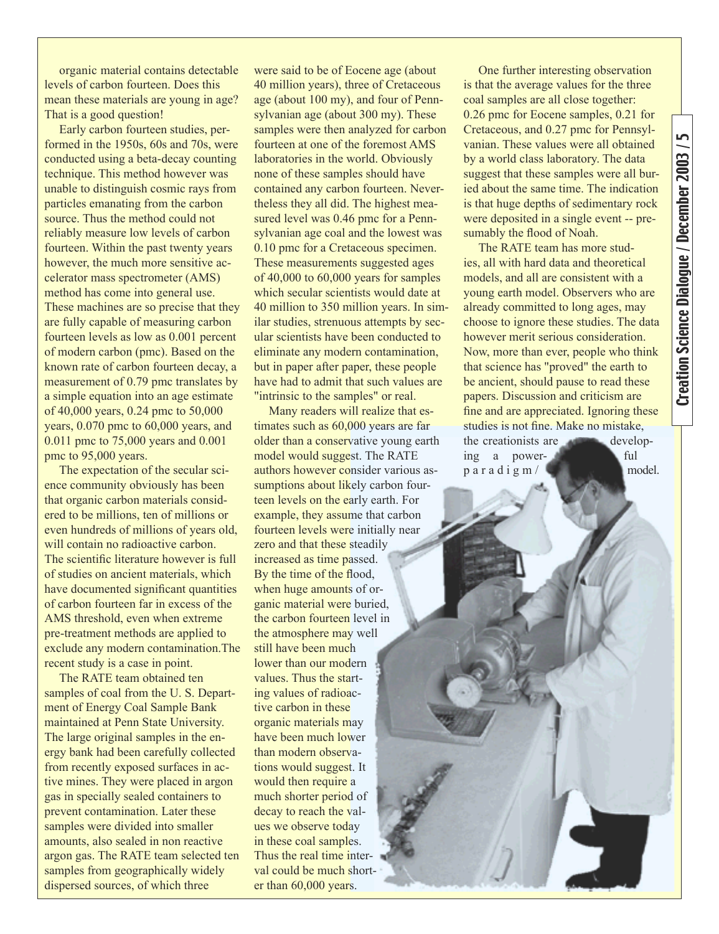organic material contains detectable levels of carbon fourteen. Does this mean these materials are young in age? That is a good question!

Early carbon fourteen studies, performed in the 1950s, 60s and 70s, were conducted using a beta-decay counting technique. This method however was unable to distinguish cosmic rays from particles emanating from the carbon source. Thus the method could not reliably measure low levels of carbon fourteen. Within the past twenty years however, the much more sensitive accelerator mass spectrometer (AMS) method has come into general use. These machines are so precise that they are fully capable of measuring carbon fourteen levels as low as 0.001 percent of modern carbon (pmc). Based on the known rate of carbon fourteen decay, a measurement of 0.79 pmc translates by a simple equation into an age estimate of 40,000 years, 0.24 pmc to 50,000 years, 0.070 pmc to 60,000 years, and 0.011 pmc to 75,000 years and 0.001 pmc to 95,000 years.

The expectation of the secular science community obviously has been that organic carbon materials considered to be millions, ten of millions or even hundreds of millions of years old, will contain no radioactive carbon. The scientific literature however is full of studies on ancient materials, which have documented significant quantities of carbon fourteen far in excess of the AMS threshold, even when extreme pre-treatment methods are applied to exclude any modern contamination.The recent study is a case in point.

The RATE team obtained ten samples of coal from the U. S. Department of Energy Coal Sample Bank maintained at Penn State University. The large original samples in the energy bank had been carefully collected from recently exposed surfaces in active mines. They were placed in argon gas in specially sealed containers to prevent contamination. Later these samples were divided into smaller amounts, also sealed in non reactive argon gas. The RATE team selected ten samples from geographically widely dispersed sources, of which three

were said to be of Eocene age (about 40 million years), three of Cretaceous age (about 100 my), and four of Pennsylvanian age (about 300 my). These samples were then analyzed for carbon fourteen at one of the foremost AMS laboratories in the world. Obviously none of these samples should have contained any carbon fourteen. Nevertheless they all did. The highest measured level was 0.46 pmc for a Pennsylvanian age coal and the lowest was 0.10 pmc for a Cretaceous specimen. These measurements suggested ages of 40,000 to 60,000 years for samples which secular scientists would date at 40 million to 350 million years. In similar studies, strenuous attempts by secular scientists have been conducted to eliminate any modern contamination, but in paper after paper, these people have had to admit that such values are "intrinsic to the samples" or real.

Many readers will realize that estimates such as 60,000 years are far older than a conservative young earth model would suggest. The RATE authors however consider various assumptions about likely carbon fourteen levels on the early earth. For example, they assume that carbon fourteen levels were initially near zero and that these steadily increased as time passed. By the time of the flood, when huge amounts of organic material were buried, the carbon fourteen level in the atmosphere may well still have been much lower than our modern values. Thus the starting values of radioactive carbon in these organic materials may have been much lower than modern observations would suggest. It would then require a much shorter period of decay to reach the values we observe today in these coal samples. Thus the real time interval could be much shorter than 60,000 years.

One further interesting observation is that the average values for the three coal samples are all close together: 0.26 pmc for Eocene samples, 0.21 for Cretaceous, and 0.27 pmc for Pennsylvanian. These values were all obtained by a world class laboratory. The data suggest that these samples were all buried about the same time. The indication is that huge depths of sedimentary rock were deposited in a single event -- presumably the flood of Noah.

The RATE team has more studies, all with hard data and theoretical models, and all are consistent with a young earth model. Observers who are already committed to long ages, may choose to ignore these studies. The data however merit serious consideration. Now, more than ever, people who think that science has "proved" the earth to be ancient, should pause to read these papers. Discussion and criticism are fine and are appreciated. Ignoring these studies is not fine. Make no mistake, the creationists are developing a power- ful p a r a d i g m /  $\Box$  model.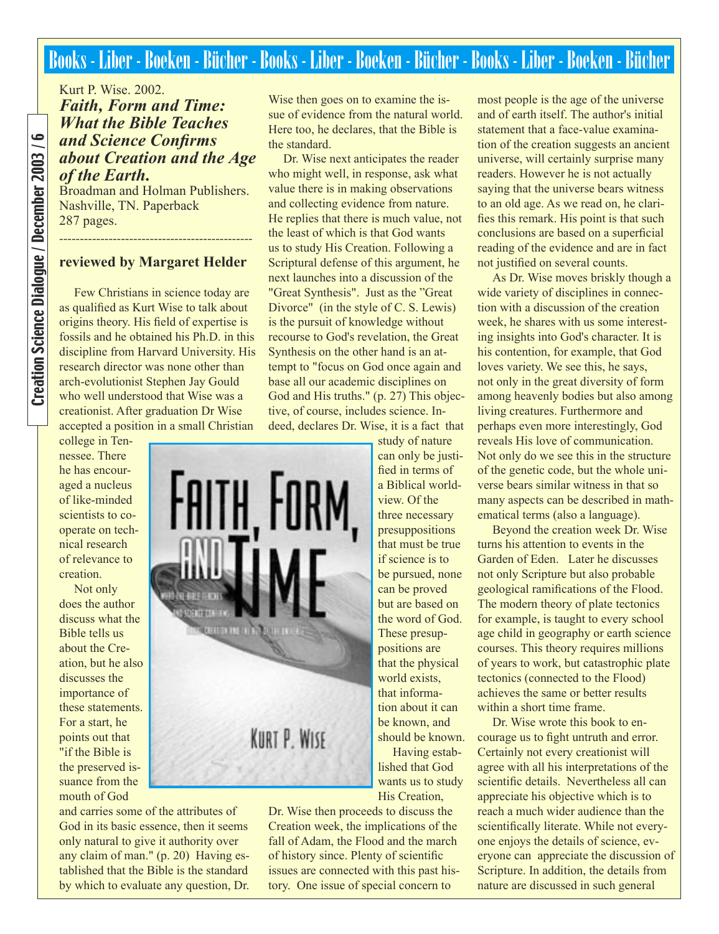# Books - Liber - Boeken - Bücher - Books - Liber - Boeken - Bücher - Books - Liber - Boeken - Bücher

Kurt P. Wise. 2002. *Faith, Form and Time: What the Bible Teaches and Science Confirms about Creation and the Age of the Earth.*

Broadman and Holman Publishers. Nashville, TN. Paperback 287 pages.

#### **reviewed by Margaret Helder**

-----------------------------------------------

Few Christians in science today are as qualified as Kurt Wise to talk about origins theory. His field of expertise is fossils and he obtained his Ph.D. in this discipline from Harvard University. His research director was none other than arch-evolutionist Stephen Jay Gould who well understood that Wise was a creationist. After graduation Dr Wise accepted a position in a small Christian

college in Tennessee. There he has encouraged a nucleus of like-minded scientists to cooperate on technical research of relevance to creation.

Not only does the author discuss what the Bible tells us about the Creation, but he also discusses the importance of these statements. For a start, he points out that "if the Bible is the preserved issuance from the mouth of God



and carries some of the attributes of God in its basic essence, then it seems only natural to give it authority over any claim of man." (p. 20) Having established that the Bible is the standard by which to evaluate any question, Dr. Wise then goes on to examine the issue of evidence from the natural world. Here too, he declares, that the Bible is the standard.

Dr. Wise next anticipates the reader who might well, in response, ask what value there is in making observations and collecting evidence from nature. He replies that there is much value, not the least of which is that God wants us to study His Creation. Following a Scriptural defense of this argument, he next launches into a discussion of the "Great Synthesis". Just as the "Great Divorce" (in the style of C. S. Lewis) is the pursuit of knowledge without recourse to God's revelation, the Great Synthesis on the other hand is an attempt to "focus on God once again and base all our academic disciplines on God and His truths." (p. 27) This objective, of course, includes science. Indeed, declares Dr. Wise, it is a fact that

> study of nature can only be justified in terms of a Biblical worldview. Of the three necessary presuppositions that must be true if science is to be pursued, none can be proved but are based on the word of God. These presuppositions are that the physical world exists, that information about it can be known, and should be known. Having estab-

lished that God wants us to study His Creation,

Dr. Wise then proceeds to discuss the Creation week, the implications of the fall of Adam, the Flood and the march of history since. Plenty of scientific issues are connected with this past history. One issue of special concern to

most people is the age of the universe and of earth itself. The author's initial statement that a face-value examination of the creation suggests an ancient universe, will certainly surprise many readers. However he is not actually saying that the universe bears witness to an old age. As we read on, he clarifies this remark. His point is that such conclusions are based on a superficial reading of the evidence and are in fact not justified on several counts.

As Dr. Wise moves briskly though a wide variety of disciplines in connection with a discussion of the creation week, he shares with us some interesting insights into God's character. It is his contention, for example, that God loves variety. We see this, he says, not only in the great diversity of form among heavenly bodies but also among living creatures. Furthermore and perhaps even more interestingly, God reveals His love of communication. Not only do we see this in the structure of the genetic code, but the whole universe bears similar witness in that so many aspects can be described in mathematical terms (also a language).

Beyond the creation week Dr. Wise turns his attention to events in the Garden of Eden. Later he discusses not only Scripture but also probable geological ramifications of the Flood. The modern theory of plate tectonics for example, is taught to every school age child in geography or earth science courses. This theory requires millions of years to work, but catastrophic plate tectonics (connected to the Flood) achieves the same or better results within a short time frame.

Dr. Wise wrote this book to encourage us to fight untruth and error. Certainly not every creationist will agree with all his interpretations of the scientific details. Nevertheless all can appreciate his objective which is to reach a much wider audience than the scientifically literate. While not everyone enjoys the details of science, everyone can appreciate the discussion of Scripture. In addition, the details from nature are discussed in such general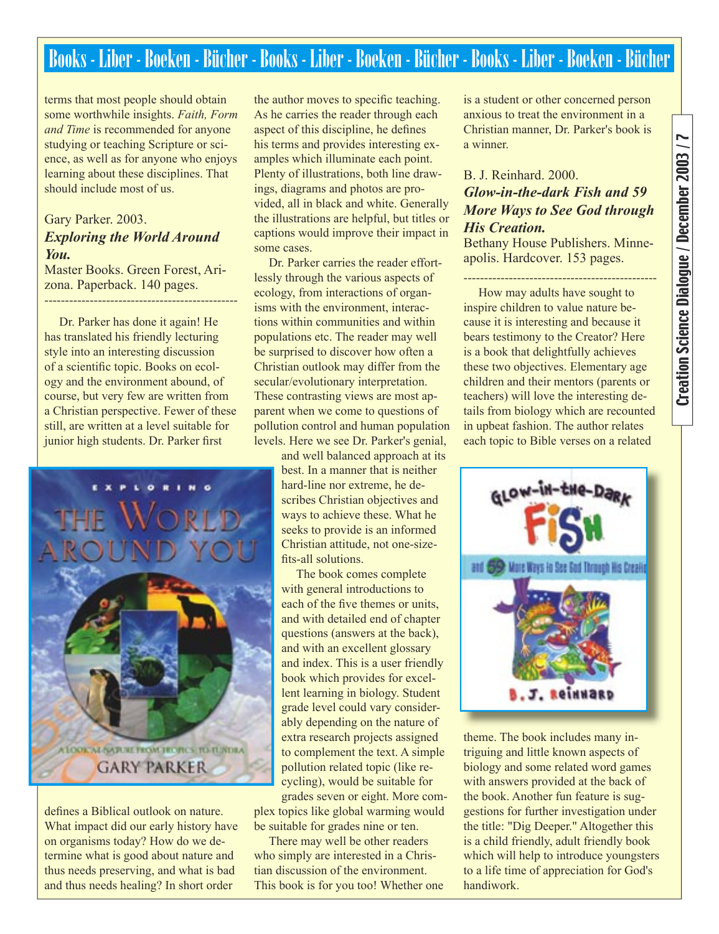# Books - Liber - Boeken - Bücher - Books - Liber - Boeken - Bücher - Books - Liber - Boeken - Bücher

terms that most people should obtain some worthwhile insights. *Faith, Form and Time* is recommended for anyone studying or teaching Scripture or science, as well as for anyone who enjoys learning about these disciplines. That should include most of us.

### Gary Parker. 2003. *Exploring the World Around You.*

Master Books. Green Forest, Arizona. Paperback. 140 pages.

-----------------------------------------------

Dr. Parker has done it again! He has translated his friendly lecturing style into an interesting discussion of a scientific topic. Books on ecology and the environment abound, of course, but very few are written from a Christian perspective. Fewer of these still, are written at a level suitable for junior high students. Dr. Parker first



defines a Biblical outlook on nature. What impact did our early history have on organisms today? How do we determine what is good about nature and thus needs preserving, and what is bad and thus needs healing? In short order

the author moves to specific teaching. As he carries the reader through each aspect of this discipline, he defines his terms and provides interesting examples which illuminate each point. Plenty of illustrations, both line drawings, diagrams and photos are provided, all in black and white. Generally the illustrations are helpful, but titles or captions would improve their impact in some cases.

Dr. Parker carries the reader effortlessly through the various aspects of ecology, from interactions of organisms with the environment, interactions within communities and within populations etc. The reader may well be surprised to discover how often a Christian outlook may differ from the secular/evolutionary interpretation. These contrasting views are most apparent when we come to questions of pollution control and human population levels. Here we see Dr. Parker's genial,

> and well balanced approach at its best. In a manner that is neither hard-line nor extreme, he describes Christian objectives and ways to achieve these. What he seeks to provide is an informed Christian attitude, not one-sizefits-all solutions.

> The book comes complete with general introductions to each of the five themes or units. and with detailed end of chapter questions (answers at the back), and with an excellent glossary and index. This is a user friendly book which provides for excellent learning in biology. Student grade level could vary considerably depending on the nature of extra research projects assigned to complement the text. A simple pollution related topic (like recycling), would be suitable for grades seven or eight. More com-

plex topics like global warming would be suitable for grades nine or ten.

There may well be other readers who simply are interested in a Christian discussion of the environment. This book is for you too! Whether one

is a student or other concerned person anxious to treat the environment in a Christian manner, Dr. Parker's book is a winner.

### B. J. Reinhard. 2000. *Glow-in-the-dark Fish and 59 More Ways to See God through His Creation.*

Bethany House Publishers. Minneapolis. Hardcover. 153 pages.

-----------------------------------------------

How may adults have sought to inspire children to value nature because it is interesting and because it bears testimony to the Creator? Here is a book that delightfully achieves these two objectives. Elementary age children and their mentors (parents or teachers) will love the interesting details from biology which are recounted in upbeat fashion. The author relates each topic to Bible verses on a related



theme. The book includes many intriguing and little known aspects of biology and some related word games with answers provided at the back of the book. Another fun feature is suggestions for further investigation under the title: "Dig Deeper." Altogether this is a child friendly, adult friendly book which will help to introduce youngsters to a life time of appreciation for God's handiwork.